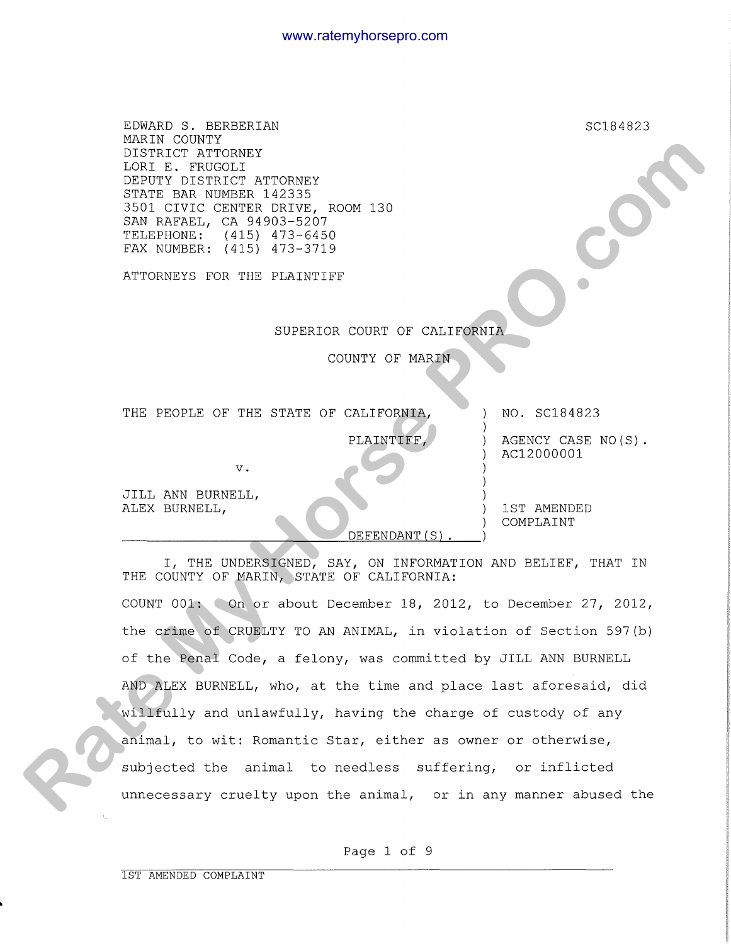| EDWARD S. BERBERIAN<br>MARIN COUNTY<br>DISTRICT ATTORNEY<br>LORI E. FRUGOLI<br>DEPUTY DISTRICT ATTORNEY<br>STATE BAR NUMBER 142335<br>3501 CIVIC CENTER DRIVE, ROOM 130<br>SAN RAFAEL, CA 94903-5207<br>TELEPHONE: (415) 473-6450<br>FAX NUMBER: (415) 473-3719 | SC184823                         |
|-----------------------------------------------------------------------------------------------------------------------------------------------------------------------------------------------------------------------------------------------------------------|----------------------------------|
| ATTORNEYS FOR THE PLAINTIFF                                                                                                                                                                                                                                     |                                  |
| SUPERIOR COURT OF CALIFORNIA                                                                                                                                                                                                                                    |                                  |
| COUNTY OF MARIN                                                                                                                                                                                                                                                 |                                  |
| THE PEOPLE OF THE STATE OF CALIFORNIA,                                                                                                                                                                                                                          | NO. SC184823                     |
| PLAINTIFF<br>$V \cdot$                                                                                                                                                                                                                                          | AGENCY CASE NO(S).<br>AC12000001 |
| JILL ANN BURNELL,<br>ALEX BURNELL,<br>DEFENDANT (S)                                                                                                                                                                                                             | 1ST AMENDED<br>COMPLAINT         |
| I, THE UNDERSIGNED, SAY, ON INFORMATION AND BELIEF, THAT IN<br>THE COUNTY OF MARIN, STATE OF CALIFORNIA:                                                                                                                                                        |                                  |
| COUNT 001: On or about December 18, 2012, to December 27, 2012,                                                                                                                                                                                                 |                                  |
| the crime of CRUELTY TO AN ANIMAL, in violation of Section 597(b)                                                                                                                                                                                               |                                  |
| of the Penal Code, a felony, was committed by JILL ANN BURNELL                                                                                                                                                                                                  |                                  |
| AND ALEX BURNELL, who, at the time and place last aforesaid, did                                                                                                                                                                                                |                                  |
| willfully and unlawfully, having the charge of custody of any                                                                                                                                                                                                   |                                  |
| animal, to wit: Romantic Star, either as owner or otherwise,                                                                                                                                                                                                    |                                  |
| subjected the animal to needless suffering, or inflicted                                                                                                                                                                                                        |                                  |
| unnecessary cruelty upon the animal, or in any manner abused the                                                                                                                                                                                                |                                  |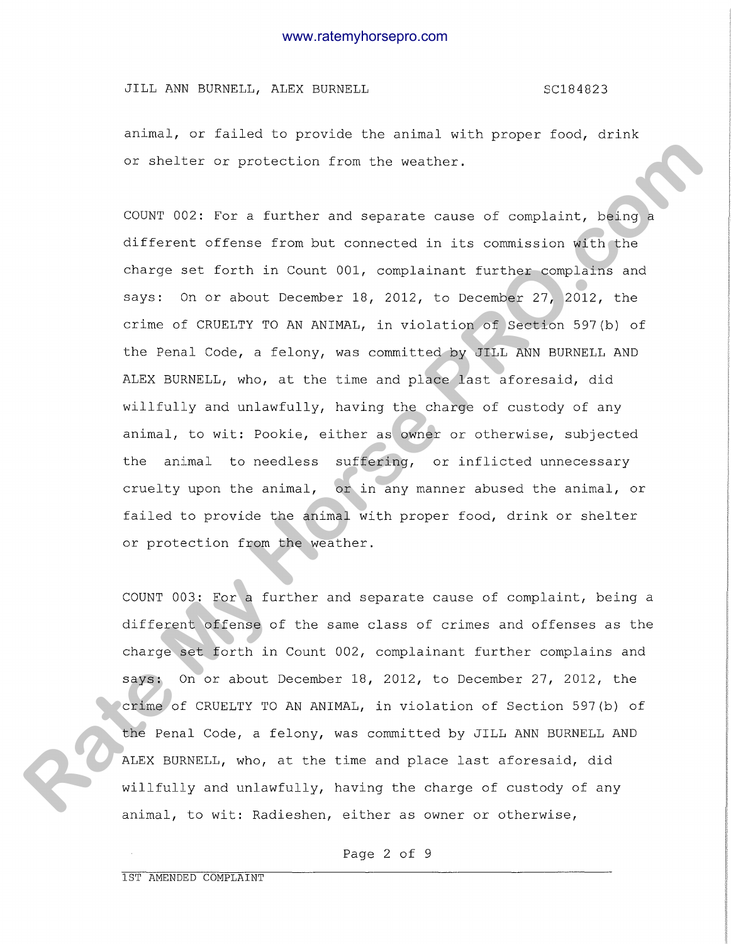JILL ANN BURNELL, ALEX BURNELL SCONGER SC184823

animal, or failed to provide the animal with proper food, drink or shelter or protection from the weather.

COUNT 002: For a further and separate cause of complaint, being a different offense from but connected in its commission with the charge set forth in Count 001, complainant further complains and says: On or about December 18, 2012, to December 27, 2012, the crime of CRUELTY TO AN ANIMAL, in violation of Section 597(b) of the Penal Code, a felony, was committed by JILL ANN BURNELL AND ALEX BURNELL, who, at the time and place last aforesaid, did willfully and unlawfully, having the charge of custody of any animal, to wit: Pookie, either as owner or otherwise, subjected the animal to needless suffering, or inflicted unnecessary cruelty upon the animal, or in any manner abused the animal, or failed to provide the animal with proper food, drink or shelter or protection from the weather. or shelter or proceedian from the weather.<br>
COON: OC2: Yor a further and separate mouse of complaint, the maximate of first different different offers from but composed in its composition with the charge att forth in Coun

COUNT 003: For a further and separate cause of complaint, being a different offense of the same class of crimes and offenses as the charge set forth in Count 002, complainant further complains and says: On or about December 18, 2012, to December 27, 2012, the crime of CRUELTY TO AN ANIMAL, in violation of Section 597(b) of the Penal Code, a felony, was committed by JILL ANN BURNELL AND ALEX BURNELL, who, at the time and place last aforesaid, did willfully and unlawfully, having the charge of custody of any animal, to wit: Radieshen, either as owner or otherwise,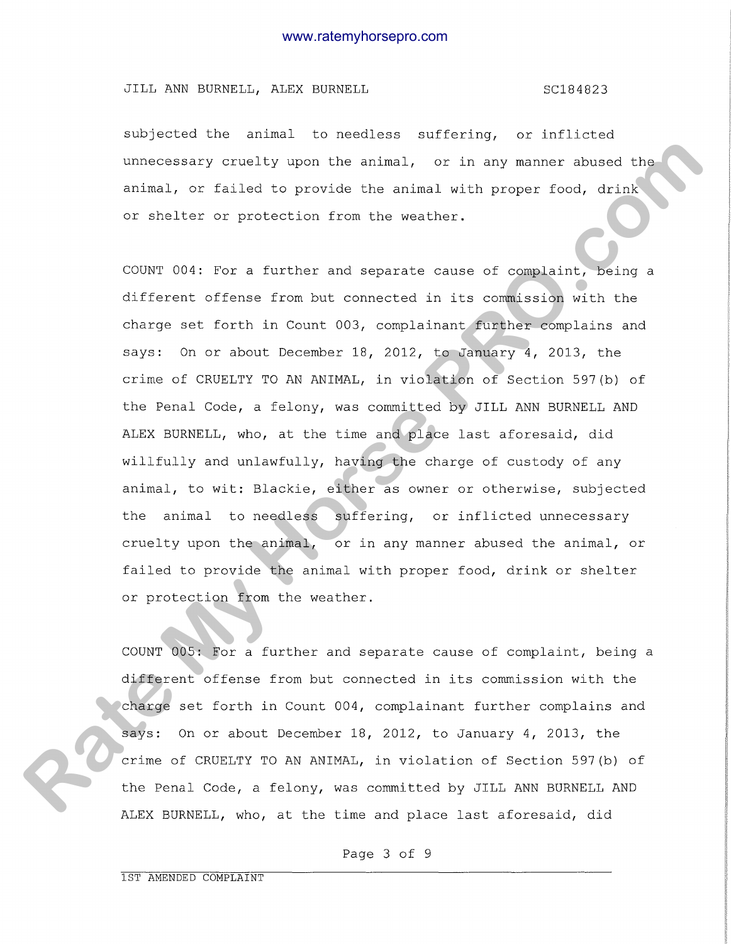JILL ANN BURNELL, ALEX BURNELL SC184823

subjected the animal to needless suffering, or inflicted unnecessary cruelty upon the animal, or in any manner abused the animal, or failed to provide the animal with proper food, drink or shelter or protection from the weather.

COUNT 004: For a further and separate cause of complaint, being a different offense from but connected in its commission with the charge set forth in Count 003, complainant further complains and says: On or about December 18, 2012, to January 4, 2013, the crime of CRUELTY TO AN ANIMAL, in violation of Section 597(b) of the Penal Code, a felony, was committed by JILL ANN BURNELL AND ALEX BURNELL, who, at the time and place last aforesaid, did willfully and unlawfully, having the charge of custody of any animal, to wit: Blackie, either as owner or otherwise, subjected the animal to needless suffering, or inflicted unnecessary cruelty upon the animal, or in any manner abused the animal, or failed to provide the animal with proper food, drink or shelter or protection from the weather. **Rate Constanty critical** control and the scheme of the scheme of the scheme of the scheme of the scheme of the scheme of the scheme of the scheme of the scheme of the scheme of the scheme of the scheme of the scheme of th

COUNT 005: For a further and separate cause of complaint, being a different offense from but connected in its commission with the charge set forth in Count 004, complainant further complains and says: On or about December 18, 2012, to January 4, 2013, the crime of CRUELTY TO AN ANIMAL, in violation of Section 597(b) of the Penal Code, a felony, was committed by JILL ANN BURNELL AND ALEX BURNELL, who, at the time and place last aforesaid, did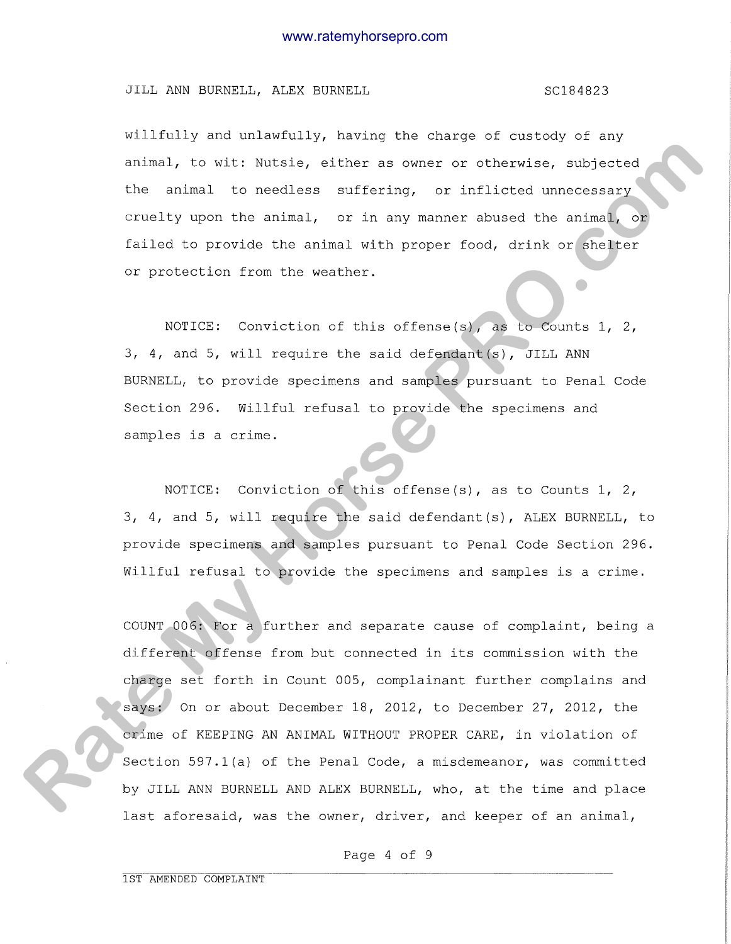# JILL ANN BURNELL, ALEX BURNELL SCORE SC184823

willfully and unlawfully, having the charge of custody of any animal, to wit: Nutsie, either as owner or otherwise, subjected the animal to needless suffering, or inflicted unnecessary cruelty upon the animal, or in any manner abused the animal, or failed to provide the animal with proper food, drink or shelter or protection from the weather.

NOTICE: Conviction of this offense(s), as to Counts 1, 2, 3, 4, and 5, will require the said defendant(s), JILL ANN BURNELL, to provide specimens and samples pursuant to Penal Code Section 296. Willful refusal to provide the specimens and samples is a crime.

NOTICE: Conviction of this offense(s), as to Counts 1, 2, 3, 4, and 5, will require the said defendant(s), ALEX BURNELL, to provide specimens and samples pursuant to Penal Code Section 296. Willful refusal to provide the specimens and samples is a crime.

COUNT 006: For a further and separate cause of complaint, being a different offense from but connected in its commission with the charge set forth in Count 005, complainant further complains and says: On or about December 18, 2012, to December 27, 2012, the crime of KEEPING AN ANIMAL WITHOUT PROPER CARE, in violation of Section 597.1(a) of the Penal Code, a misdemeanor, was committed by JILL ANN BURNELL AND ALEX BURNELL, who, at the time and place last aforesaid, was the owner, driver, and keeper of an animal, **Rate and the set of the set of the set of the set of the set of the set of the set of the set of the set of the set of the set of the set of the set of the set of the set of the set of the set of the set of the set of the**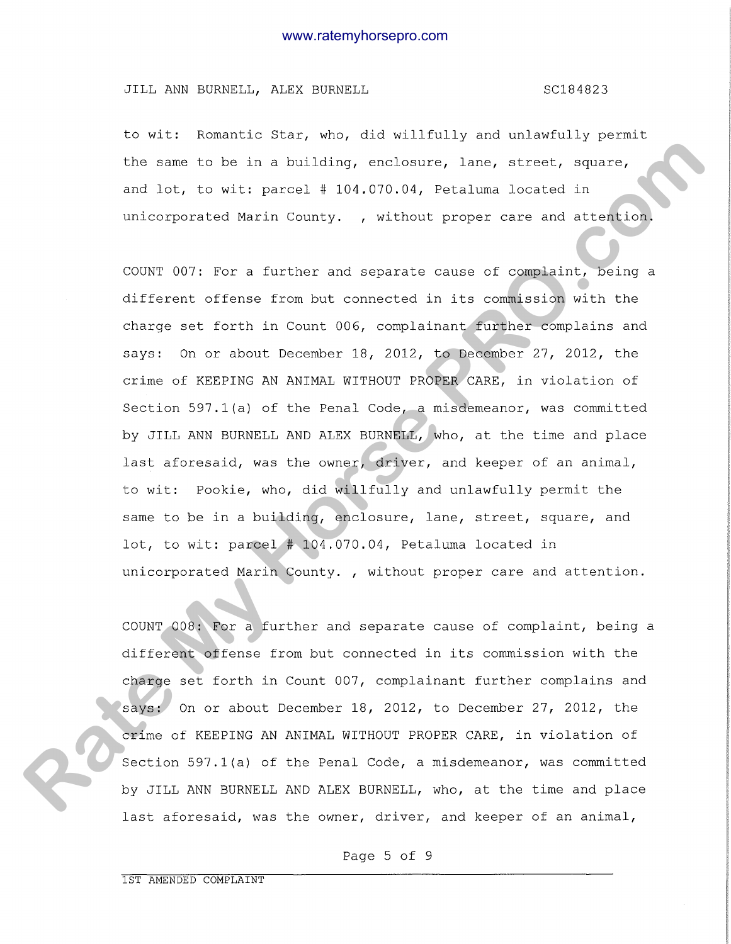# JILL ANN BURNELL, ALEX BURNELL SC184823

to wit: Romantic Star, who, did willfully and unlawfully permit the same to be in a building, enclosure, lane, street, square, and lot, to wit: parcel # 104.070.04, Petaluma located in unicorporated Marin County. , without proper care and attention.

COUNT 007: For a further and separate cause of complaint, being a different offense from but connected in its commission with the charge set forth in Count 006, complainant further complains and says: On or about December 18, 2012, to December 27, 2012, the crime of KEEPING AN ANIMAL WITHOUT PROPER CARE, in violation of Section 597.1(a) of the Penal Code, a misdemeanor, was committed by JILL ANN BURNELL AND ALEX BURNELL, who, at the time and place last aforesaid, was the owner, driver, and keeper of an animal, to wit: Pookie, who, did willfully and unlawfully permit the same to be in a building, enclosure, lane, street, square, and lot, to wit: parcel # 104.070.04, Petaluma located in unicorporated Marin County. , without proper care and attention. the same to be in a building, enclosure, lane, streat, equare,<br>and lot, to with parcel + 104.070.34, Potentume located in<br>unicorporated Ratin Common, , without proper care and attention,<br>CODET 007: Tor a further and separa

COUNT 008: For a further and separate cause of complaint, being a different offense from but connected in its commission with the charge set forth in Count 007, complainant further complains and says: On or about December 18, 2012, to December 27, 2012, the crime of KEEPING AN ANIMAL WITHOUT PROPER CARE, in violation of Section 597.1(a) of the Penal Code, a misdemeanor, was committed by JILL ANN BURNELL AND ALEX BURNELL, who, at the time and place last aforesaid, was the owner, driver, and keeper of an animal,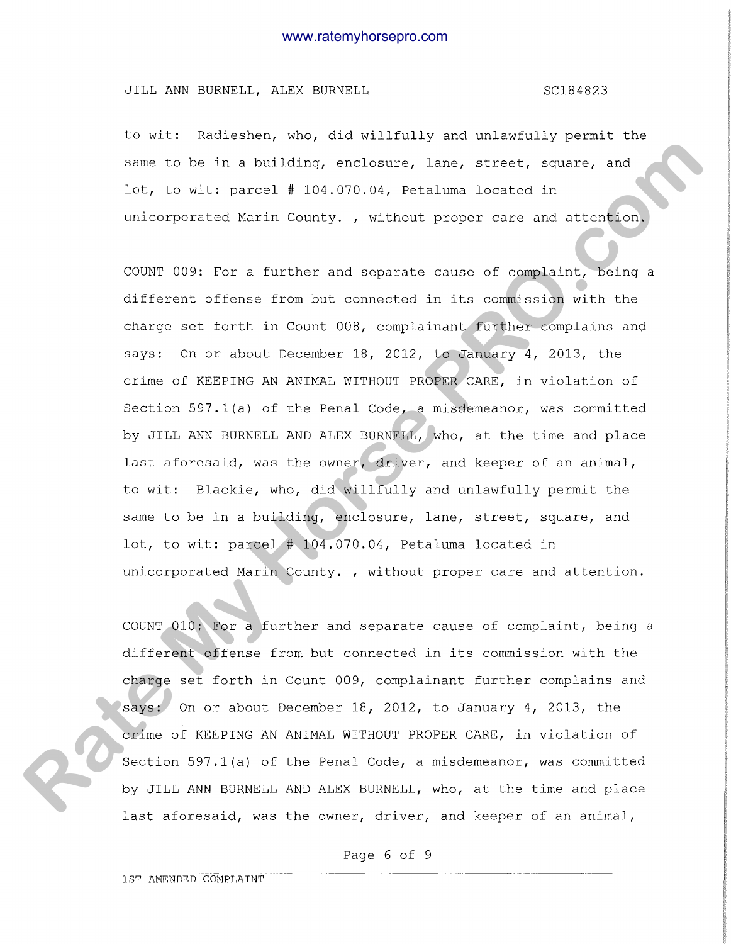### JILL ANN BURNELL, ALEX BURNELL SCONGER SC184823

to wit: Radieshen, who, did willfully and unlawfully permit the same to be in a building, enclosure, lane, street, square, and lot, to wit: parcel # 104.070.04, Petaluma located in unicorporated Marin County. , without proper care and attention.

COUNT 009: For a further and separate cause of complaint, being a different offense from but connected in its commission with the charge set forth in Count 008, complainant further complains and says: On or about December 18, 2012, to January 4, 2013, the crime of KEEPING AN ANIMAL WITHOUT PROPER CARE, in violation of Section 597.1(a) of the Penal Code, a misdemeanor, was committed by JILL ANN BURNELL AND ALEX BURNELL, who, at the time and place last aforesaid, was the owner, driver, and keeper of an animal, to wit: Blackie, who, did willfully and unlawfully permit the same to be in a building, enclosure, lane, street, square, and lot, to wit: parcel # 104.070.04, Petaluma located in unicorporated Marin County. , without proper care and attention. sexe to be in a building, enalishoire, lare, streat, equante, and<br>tot, io with parcel #104.070.04, Betaluma located in<br>unincorporates Mexin Commity., without proper care and statute on<br>compression for a turbler and sexerat

COUNT 010: For a further and separate cause of complaint, being a different offense from but connected in its commission with the charge set forth in Count 009, complainant further complains and says: On or about December 18, 2012, to January 4, 2013, the crime of KEEPING AN ANIMAL WITHOUT PROPER CARE, in violation of Section 597.1(a) of the Penal Code, a misdemeanor, was committed by JILL ANN BURNELL AND ALEX BURNELL, who, at the time and place last aforesaid, was the owner, driver, and keeper of an animal,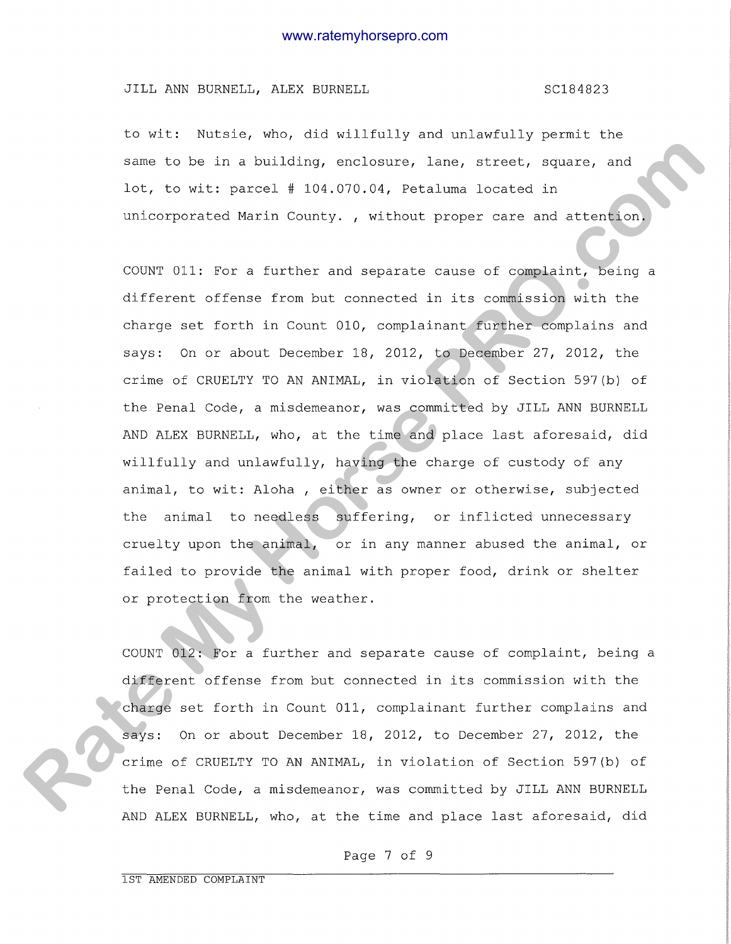### JILL ANN BURNELL, ALEX BURNELL SCONGER SC184823

to wit: Nutsie, who, did willfully and unlawfully permit the same to be in a building, enclosure, lane, street, square, and lot, to wit: parcel # 104.070.04, Petaluma located in unicorporated Marin County. , without proper care and attention.

COUNT 011: For a further and separate cause of complaint, being a different offense from but connected in its commission with the charge set forth in Count 010, complainant further complains and says: On or about December 18, 2012, to December 27, 2012, the crime of CRUELTY TO AN ANIMAL, in violation of Section 597(b) of the Penal Code, a misdemeanor, was committed by JILL ANN BURNELL AND ALEX BURNELL, who, at the time and place last aforesaid, did willfully and unlawfully, having the charge of custody of any animal, to wit: Aloha , either as owner or otherwise, subjected the animal to needless suffering, or inflicted unnecessary cruelty upon the animal, or in any manner abused the animal, or failed to provide the animal with proper food, drink or shelter or protection from the weather. **Rame 1.** be in a building, prolonuous, lone, stroot, sugare, and<br>19t, to with pareel 4 104.070.04, Setaluma located in<br>Informerated Murin County, , without propes care and attention.<br>CODRY 311: For a further and separate

COUNT 012: For a further and separate cause of complaint, being a different offense from but connected in its commission with the charge set forth in Count 011, complainant further complains and says: On or about December 18, 2012, to December 27, 2012, the crime of CRUELTY TO AN ANIMAL, in violation of Section 597(b) of the Penal Code, a misdemeanor, was committed by JILL ANN BURNELL AND ALEX BURNELL, who, at the time and place last aforesaid, did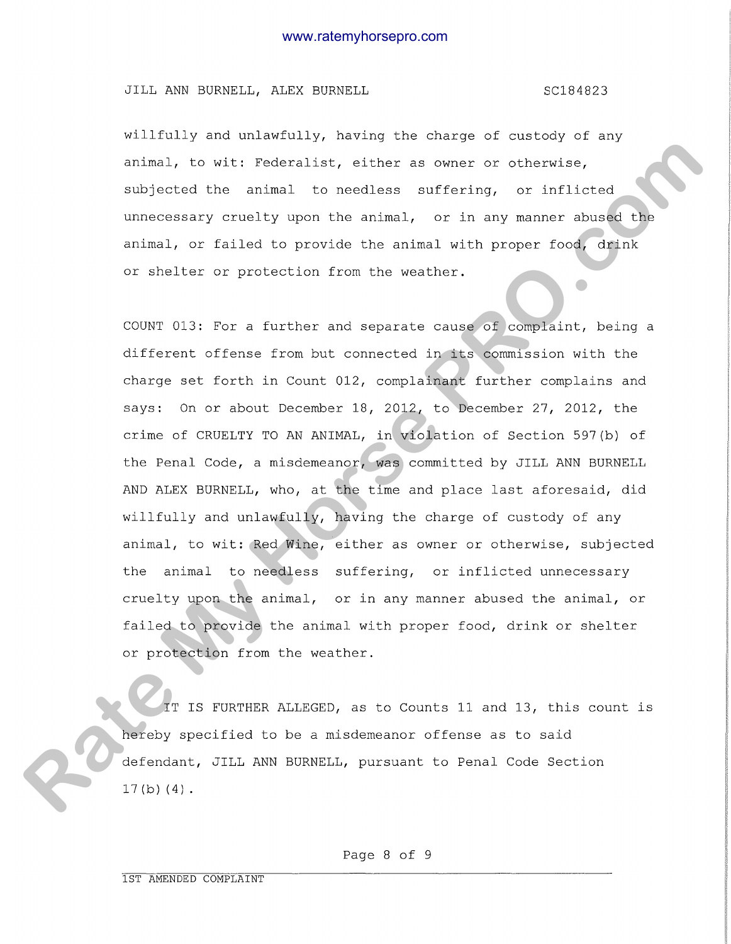## JILL ANN BURNELL, ALEX BURNELL SCOME SC184823

willfully and unlawfully, having the charge of custody of any animal, to wit: Federalist, either as owner or otherwise, subjected the animal to needless suffering, or inflicted unnecessary cruelty upon the animal, or in any manner abused the animal, or failed to provide the animal with proper food, drink or shelter or protection from the weather.

COUNT 013: For a further and separate cause of complaint, being a different offense from but connected in its commission with the charge set forth in Count 012, complainant further complains and says: On or about December 18, 2012, to December 27, 2012, the crime of CRUELTY TO AN ANIMAL, in violation of Section 597(b) of the Penal Code, a misdemeanor, was committed by JILL ANN BURNELL AND ALEX BURNELL, who, at the time and place last aforesaid, did willfully and unlawfully, having the charge of custody of any animal, to wit: Red Wine, either as owner or otherwise, subjected the animal to needless suffering, or inflicted unnecessary cruelty upon the animal, or in any manner abused the animal, or failed to provide the animal with proper food, drink or shelter or protection from the weather. coincal, to wit: Pederalist, alther as owner or otherwise,<br>abljected the sminal to recoince suffering, or inflicted<br>unacceasing versity upon the animal, or in any memmer abused the<br>arises, or thilded to provide the animal

IT IS FURTHER ALLEGED, as to Counts 11 and 13, this count is hereby specified to be a misdemeanor offense as to said defendant, JILL ANN BURNELL, pursuant to Penal Code Section  $17(b) (4)$ .